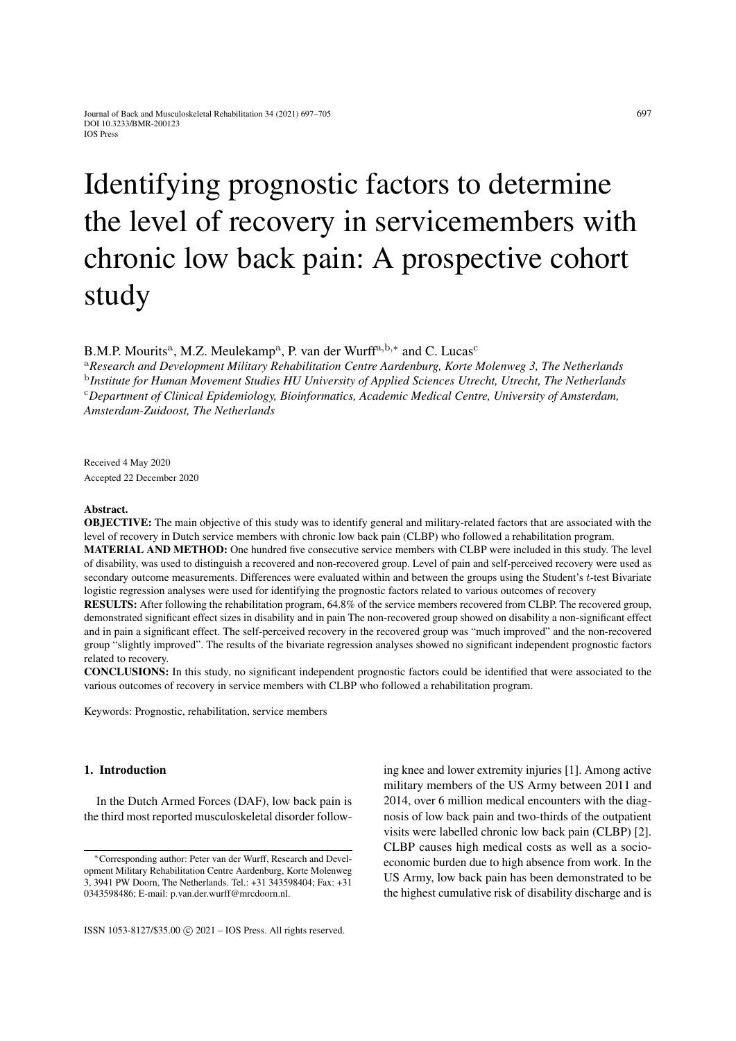# Identifying prognostic factors to determine the level of recovery in servicemembers with chronic low back pain: A prospective cohort study

B.M.P. Mourits<sup>a</sup>, M.Z. Meulekamp<sup>a</sup>, P. van der Wurff<sup>a,b,\*</sup> and C. Lucas<sup>c</sup>

<sup>a</sup>*Research and Development Military Rehabilitation Centre Aardenburg, Korte Molenweg 3, The Netherlands* b *Institute for Human Movement Studies HU University of Applied Sciences Utrecht, Utrecht, The Netherlands* <sup>c</sup>*Department of Clinical Epidemiology, Bioinformatics, Academic Medical Centre, University of Amsterdam, Amsterdam-Zuidoost, The Netherlands*

Received 4 May 2020 Accepted 22 December 2020

#### Abstract.

OBJECTIVE: The main objective of this study was to identify general and military-related factors that are associated with the level of recovery in Dutch service members with chronic low back pain (CLBP) who followed a rehabilitation program.

MATERIAL AND METHOD: One hundred five consecutive service members with CLBP were included in this study. The level of disability, was used to distinguish a recovered and non-recovered group. Level of pain and self-perceived recovery were used as secondary outcome measurements. Differences were evaluated within and between the groups using the Student's t-test Bivariate logistic regression analyses were used for identifying the prognostic factors related to various outcomes of recovery

RESULTS: After following the rehabilitation program, 64.8% of the service members recovered from CLBP. The recovered group, demonstrated significant effect sizes in disability and in pain The non-recovered group showed on disability a non-significant effect and in pain a significant effect. The self-perceived recovery in the recovered group was "much improved" and the non-recovered group "slightly improved". The results of the bivariate regression analyses showed no significant independent prognostic factors related to recovery.

CONCLUSIONS: In this study, no significant independent prognostic factors could be identified that were associated to the various outcomes of recovery in service members with CLBP who followed a rehabilitation program.

Keywords: Prognostic, rehabilitation, service members

## 1. Introduction

In the Dutch Armed Forces (DAF), low back pain is the third most reported musculoskeletal disorder following knee and lower extremity injuries [\[1\]](#page-7-0). Among active military members of the US Army between 2011 and 2014, over 6 million medical encounters with the diagnosis of low back pain and two-thirds of the outpatient visits were labelled chronic low back pain (CLBP) [\[2\]](#page-7-1). CLBP causes high medical costs as well as a socioeconomic burden due to high absence from work. In the US Army, low back pain has been demonstrated to be the highest cumulative risk of disability discharge and is

<sup>∗</sup>Corresponding author: Peter van der Wurff, Research and Development Military Rehabilitation Centre Aardenburg, Korte Molenweg 3, 3941 PW Doorn, The Netherlands. Tel.: +31 343598404; Fax: +31 0343598486; E-mail: p.van.der.wurff@mrcdoorn.nl.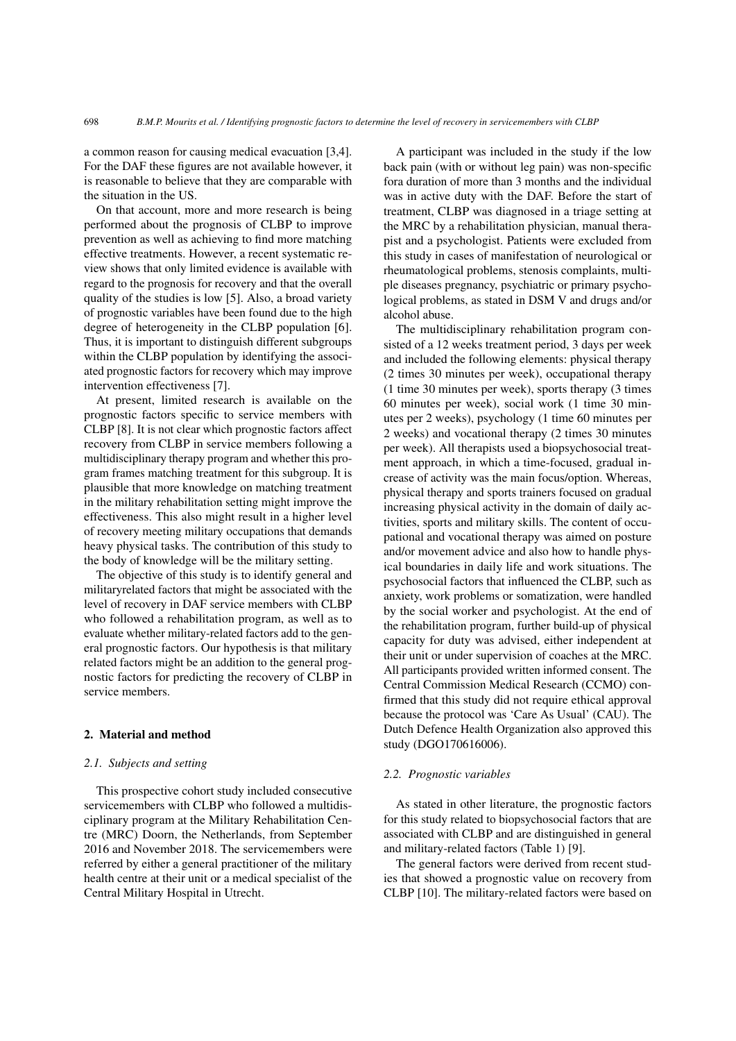a common reason for causing medical evacuation [\[3](#page-7-2)[,4\]](#page-7-3). For the DAF these figures are not available however, it is reasonable to believe that they are comparable with the situation in the US.

On that account, more and more research is being performed about the prognosis of CLBP to improve prevention as well as achieving to find more matching effective treatments. However, a recent systematic review shows that only limited evidence is available with regard to the prognosis for recovery and that the overall quality of the studies is low [\[5\]](#page-7-4). Also, a broad variety of prognostic variables have been found due to the high degree of heterogeneity in the CLBP population [\[6\]](#page-7-5). Thus, it is important to distinguish different subgroups within the CLBP population by identifying the associated prognostic factors for recovery which may improve intervention effectiveness [\[7\]](#page-7-6).

At present, limited research is available on the prognostic factors specific to service members with CLBP [\[8\]](#page-7-7). It is not clear which prognostic factors affect recovery from CLBP in service members following a multidisciplinary therapy program and whether this program frames matching treatment for this subgroup. It is plausible that more knowledge on matching treatment in the military rehabilitation setting might improve the effectiveness. This also might result in a higher level of recovery meeting military occupations that demands heavy physical tasks. The contribution of this study to the body of knowledge will be the military setting.

The objective of this study is to identify general and militaryrelated factors that might be associated with the level of recovery in DAF service members with CLBP who followed a rehabilitation program, as well as to evaluate whether military-related factors add to the general prognostic factors. Our hypothesis is that military related factors might be an addition to the general prognostic factors for predicting the recovery of CLBP in service members.

## 2. Material and method

## *2.1. Subjects and setting*

This prospective cohort study included consecutive servicemembers with CLBP who followed a multidisciplinary program at the Military Rehabilitation Centre (MRC) Doorn, the Netherlands, from September 2016 and November 2018. The servicemembers were referred by either a general practitioner of the military health centre at their unit or a medical specialist of the Central Military Hospital in Utrecht.

A participant was included in the study if the low back pain (with or without leg pain) was non-specific fora duration of more than 3 months and the individual was in active duty with the DAF. Before the start of treatment, CLBP was diagnosed in a triage setting at the MRC by a rehabilitation physician, manual therapist and a psychologist. Patients were excluded from this study in cases of manifestation of neurological or rheumatological problems, stenosis complaints, multiple diseases pregnancy, psychiatric or primary psychological problems, as stated in DSM V and drugs and/or alcohol abuse.

The multidisciplinary rehabilitation program consisted of a 12 weeks treatment period, 3 days per week and included the following elements: physical therapy (2 times 30 minutes per week), occupational therapy (1 time 30 minutes per week), sports therapy (3 times 60 minutes per week), social work (1 time 30 minutes per 2 weeks), psychology (1 time 60 minutes per 2 weeks) and vocational therapy (2 times 30 minutes per week). All therapists used a biopsychosocial treatment approach, in which a time-focused, gradual increase of activity was the main focus/option. Whereas, physical therapy and sports trainers focused on gradual increasing physical activity in the domain of daily activities, sports and military skills. The content of occupational and vocational therapy was aimed on posture and/or movement advice and also how to handle physical boundaries in daily life and work situations. The psychosocial factors that influenced the CLBP, such as anxiety, work problems or somatization, were handled by the social worker and psychologist. At the end of the rehabilitation program, further build-up of physical capacity for duty was advised, either independent at their unit or under supervision of coaches at the MRC. All participants provided written informed consent. The Central Commission Medical Research (CCMO) confirmed that this study did not require ethical approval because the protocol was 'Care As Usual' (CAU). The Dutch Defence Health Organization also approved this study (DGO170616006).

#### *2.2. Prognostic variables*

As stated in other literature, the prognostic factors for this study related to biopsychosocial factors that are associated with CLBP and are distinguished in general and military-related factors (Table [1\)](#page-2-0) [\[9\]](#page-7-8).

The general factors were derived from recent studies that showed a prognostic value on recovery from CLBP [\[10\]](#page-7-9). The military-related factors were based on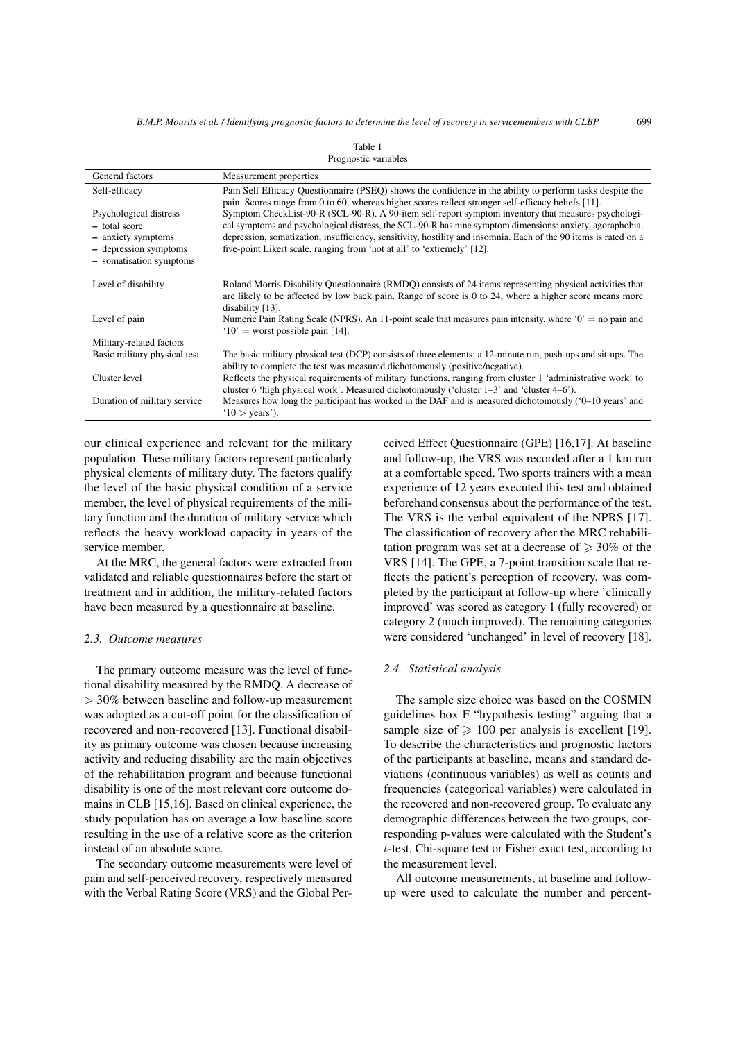<span id="page-2-0"></span>

| General factors              | Measurement properties                                                                                                                            |
|------------------------------|---------------------------------------------------------------------------------------------------------------------------------------------------|
| Self-efficacy                | Pain Self Efficacy Questionnaire (PSEQ) shows the confidence in the ability to perform tasks despite the                                          |
|                              | pain. Scores range from 0 to 60, whereas higher scores reflect stronger self-efficacy beliefs [11].                                               |
| Psychological distress       | Symptom CheckList-90-R (SCL-90-R). A 90-item self-report symptom inventory that measures psychologi-                                              |
| - total score                | cal symptoms and psychological distress, the SCL-90-R has nine symptom dimensions: anxiety, agoraphobia,                                          |
| - anxiety symptoms           | depression, somatization, insufficiency, sensitivity, hostility and insomnia. Each of the 90 items is rated on a                                  |
| - depression symptoms        | five-point Likert scale, ranging from 'not at all' to 'extremely' [12].                                                                           |
| - somatisation symptoms      |                                                                                                                                                   |
|                              |                                                                                                                                                   |
| Level of disability          | Roland Morris Disability Questionnaire (RMDQ) consists of 24 items representing physical activities that                                          |
|                              | are likely to be affected by low back pain. Range of score is 0 to 24, where a higher score means more<br>disability [13].                        |
| Level of pain                | Numeric Pain Rating Scale (NPRS). An 11-point scale that measures pain intensity, where ' $0' =$ no pain and<br>$10'$ = worst possible pain [14]. |
| Military-related factors     |                                                                                                                                                   |
| Basic military physical test | The basic military physical test (DCP) consists of three elements: a 12-minute run, push-ups and sit-ups. The                                     |
|                              | ability to complete the test was measured dichotomously (positive/negative).                                                                      |
| Cluster level                | Reflects the physical requirements of military functions, ranging from cluster 1 'administrative work' to                                         |
|                              | cluster 6 'high physical work'. Measured dichotomously ('cluster $1-3$ ' and 'cluster $4-6$ ').                                                   |
| Duration of military service | Measures how long the participant has worked in the DAF and is measured dichotomously $(0-10 \text{ years})$ and                                  |
|                              | $'10$ > years').                                                                                                                                  |
|                              |                                                                                                                                                   |

Table 1 Prognostic variables

our clinical experience and relevant for the military population. These military factors represent particularly physical elements of military duty. The factors qualify the level of the basic physical condition of a service member, the level of physical requirements of the military function and the duration of military service which reflects the heavy workload capacity in years of the service member.

At the MRC, the general factors were extracted from validated and reliable questionnaires before the start of treatment and in addition, the military-related factors have been measured by a questionnaire at baseline.

## *2.3. Outcome measures*

The primary outcome measure was the level of functional disability measured by the RMDQ. A decrease of > 30% between baseline and follow-up measurement was adopted as a cut-off point for the classification of recovered and non-recovered [\[13\]](#page-7-12). Functional disability as primary outcome was chosen because increasing activity and reducing disability are the main objectives of the rehabilitation program and because functional disability is one of the most relevant core outcome domains in CLB [\[15](#page-8-1)[,16\]](#page-8-2). Based on clinical experience, the study population has on average a low baseline score resulting in the use of a relative score as the criterion instead of an absolute score.

The secondary outcome measurements were level of pain and self-perceived recovery, respectively measured with the Verbal Rating Score (VRS) and the Global Perceived Effect Questionnaire (GPE) [\[16](#page-8-2)[,17\]](#page-8-3). At baseline and follow-up, the VRS was recorded after a 1 km run at a comfortable speed. Two sports trainers with a mean experience of 12 years executed this test and obtained beforehand consensus about the performance of the test. The VRS is the verbal equivalent of the NPRS [\[17\]](#page-8-3). The classification of recovery after the MRC rehabilitation program was set at a decrease of  $\geq 30\%$  of the VRS [\[14\]](#page-8-0). The GPE, a 7-point transition scale that reflects the patient's perception of recovery, was completed by the participant at follow-up where 'clinically improved' was scored as category 1 (fully recovered) or category 2 (much improved). The remaining categories were considered 'unchanged' in level of recovery [\[18\]](#page-8-4).

## *2.4. Statistical analysis*

The sample size choice was based on the COSMIN guidelines box F "hypothesis testing" arguing that a sample size of  $\geq 100$  per analysis is excellent [\[19\]](#page-8-5). To describe the characteristics and prognostic factors of the participants at baseline, means and standard deviations (continuous variables) as well as counts and frequencies (categorical variables) were calculated in the recovered and non-recovered group. To evaluate any demographic differences between the two groups, corresponding p-values were calculated with the Student's t-test, Chi-square test or Fisher exact test, according to the measurement level.

All outcome measurements, at baseline and followup were used to calculate the number and percent-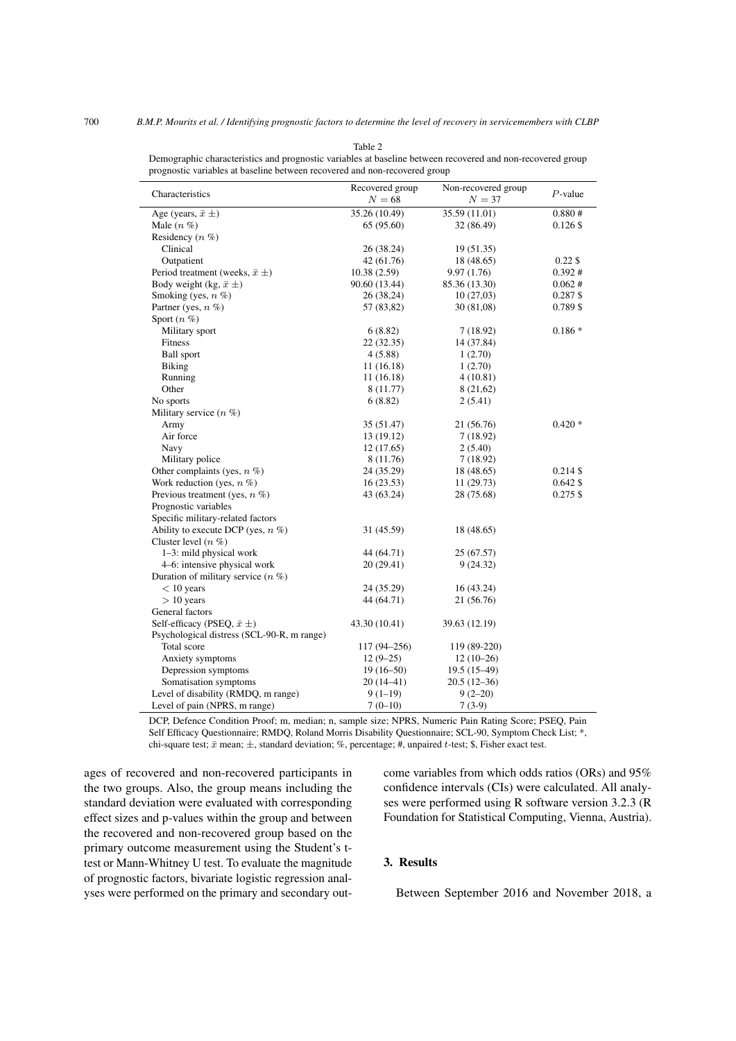| prognostic variables at baseline between recovered and non-recovered group |                           |                               |            |
|----------------------------------------------------------------------------|---------------------------|-------------------------------|------------|
| Characteristics                                                            | Recovered group<br>$N=68$ | Non-recovered group<br>$N=37$ | $P$ -value |
| Age (years, $\bar{x} \pm$ )                                                | 35.26 (10.49)             | 35.59 (11.01)                 | 0.880#     |
| Male $(n \%)$                                                              | 65 (95.60)                | 32 (86.49)                    | $0.126$ \$ |
| Residency $(n \%)$                                                         |                           |                               |            |
| Clinical                                                                   | 26 (38.24)                | 19 (51.35)                    |            |
| Outpatient                                                                 | 42 (61.76)                | 18 (48.65)                    | $0.22$ \$  |
| Period treatment (weeks, $\bar{x} \pm$ )                                   | 10.38(2.59)               | 9.97(1.76)                    | 0.392#     |
| Body weight (kg, $\bar{x} \pm$ )                                           | 90.60 (13.44)             | 85.36 (13.30)                 | 0.062#     |
| Smoking (yes, $n \%$ )                                                     | 26 (38,24)                | 10(27,03)                     | $0.287$ \$ |
| Partner (yes, $n \%$ )                                                     | 57 (83,82)                | 30(81,08)                     | $0.789$ \$ |
| Sport $(n \%)$                                                             |                           |                               |            |
| Military sport                                                             | 6(8.82)                   | 7(18.92)                      | $0.186*$   |
| Fitness                                                                    | 22 (32.35)                | 14 (37.84)                    |            |
| <b>Ball</b> sport                                                          | 4 (5.88)                  | 1(2.70)                       |            |
| <b>Biking</b>                                                              | 11 (16.18)                | 1(2.70)                       |            |
| Running                                                                    | 11 (16.18)                | 4(10.81)                      |            |
| Other                                                                      | 8 (11.77)                 | 8 (21,62)                     |            |
| No sports                                                                  | 6(8.82)                   | 2 (5.41)                      |            |
| Military service $(n \%)$                                                  |                           |                               |            |
| Army                                                                       | 35 (51.47)                | 21 (56.76)                    | $0.420*$   |
| Air force                                                                  | 13 (19.12)                | 7(18.92)                      |            |
| Navy                                                                       | 12(17.65)                 | 2(5.40)                       |            |
| Military police                                                            | 8 (11.76)                 | 7(18.92)                      |            |
| Other complaints (yes, $n \%$ )                                            | 24 (35.29)                | 18 (48.65)                    | $0.214$ \$ |
| Work reduction (yes, $n \%$ )                                              | 16(23.53)                 | 11(29.73)                     | $0.642$ \$ |
| Previous treatment (yes, $n \%$ )                                          | 43 (63.24)                | 28 (75.68)                    | $0.275$ \$ |
| Prognostic variables                                                       |                           |                               |            |
| Specific military-related factors                                          |                           |                               |            |
| Ability to execute DCP (yes, $n \%$ )                                      | 31 (45.59)                | 18 (48.65)                    |            |
| Cluster level $(n \%)$                                                     |                           |                               |            |
| 1–3: mild physical work                                                    | 44 (64.71)                | 25 (67.57)                    |            |
| 4–6: intensive physical work                                               | 20 (29.41)                | 9(24.32)                      |            |
| Duration of military service $(n \%)$                                      |                           |                               |            |
| $< 10$ years                                                               | 24 (35.29)                | 16 (43.24)                    |            |
| $> 10$ years                                                               | 44 (64.71)                | 21 (56.76)                    |            |
| General factors                                                            |                           |                               |            |
| Self-efficacy (PSEQ, $\bar{x} \pm$ )                                       | 43.30 (10.41)             | 39.63 (12.19)                 |            |
| Psychological distress (SCL-90-R, m range)                                 |                           |                               |            |
| Total score                                                                | 117 (94-256)              | 119 (89-220)                  |            |
| Anxiety symptoms                                                           | $12(9-25)$                | $12(10-26)$                   |            |
| Depression symptoms                                                        | $19(16-50)$               | $19.5(15-49)$                 |            |
| Somatisation symptoms                                                      | $20(14-41)$               | $20.5(12-36)$                 |            |
| Level of disability (RMDQ, m range)                                        | $9(1-19)$                 | $9(2-20)$                     |            |
| Level of pain (NPRS, m range)                                              | $7(0-10)$                 | $7(3-9)$                      |            |

<span id="page-3-0"></span>Table 2 Demographic characteristics and prognostic variables at baseline between recovered and non-recovered group

DCP, Defence Condition Proof; m, median; n, sample size; NPRS, Numeric Pain Rating Score; PSEQ, Pain Self Efficacy Questionnaire; RMDQ, Roland Morris Disability Questionnaire; SCL-90, Symptom Check List; \*, chi-square test;  $\bar{x}$  mean;  $\pm$ , standard deviation; %, percentage; #, unpaired t-test; \$, Fisher exact test.

ages of recovered and non-recovered participants in the two groups. Also, the group means including the standard deviation were evaluated with corresponding effect sizes and p-values within the group and between the recovered and non-recovered group based on the primary outcome measurement using the Student's ttest or Mann-Whitney U test. To evaluate the magnitude of prognostic factors, bivariate logistic regression analyses were performed on the primary and secondary outcome variables from which odds ratios (ORs) and 95% confidence intervals (CIs) were calculated. All analyses were performed using R software version 3.2.3 (R Foundation for Statistical Computing, Vienna, Austria).

# 3. Results

Between September 2016 and November 2018, a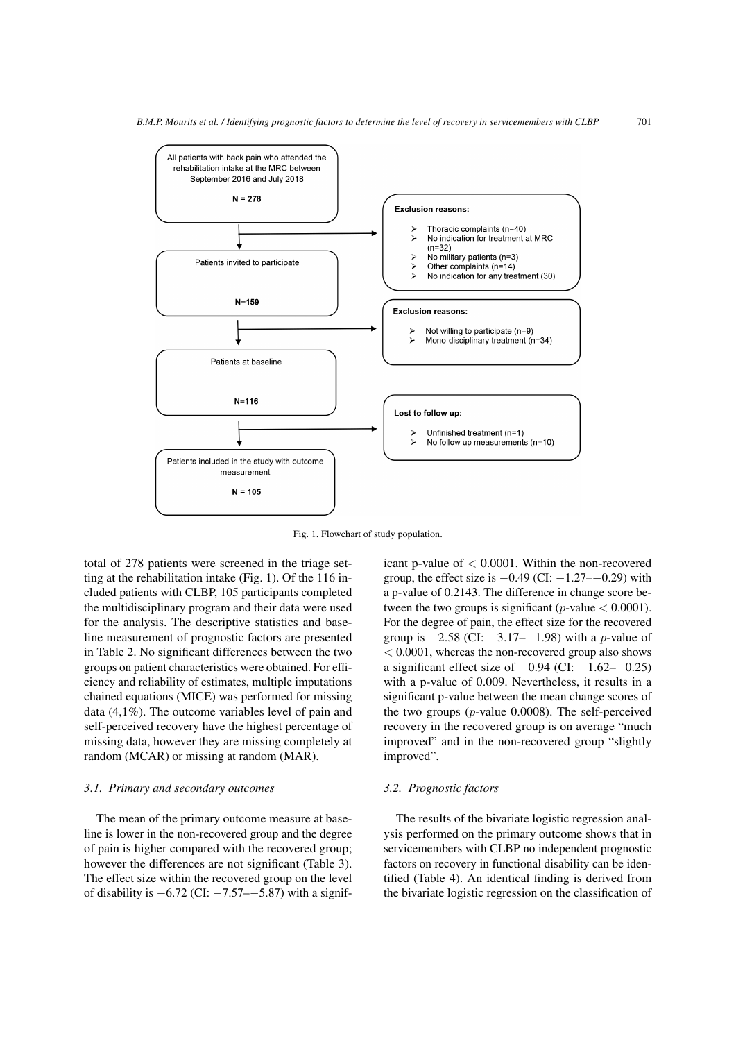

<span id="page-4-0"></span>Fig. 1. Flowchart of study population.

total of 278 patients were screened in the triage setting at the rehabilitation intake (Fig. [1\)](#page-4-0). Of the 116 included patients with CLBP, 105 participants completed the multidisciplinary program and their data were used for the analysis. The descriptive statistics and baseline measurement of prognostic factors are presented in Table [2.](#page-3-0) No significant differences between the two groups on patient characteristics were obtained. For efficiency and reliability of estimates, multiple imputations chained equations (MICE) was performed for missing data (4,1%). The outcome variables level of pain and self-perceived recovery have the highest percentage of missing data, however they are missing completely at random (MCAR) or missing at random (MAR).

## *3.1. Primary and secondary outcomes*

The mean of the primary outcome measure at baseline is lower in the non-recovered group and the degree of pain is higher compared with the recovered group; however the differences are not significant (Table [3\)](#page-5-0). The effect size within the recovered group on the level of disability is  $-6.72$  (CI:  $-7.57$ – $-5.87$ ) with a significant p-value of < 0.0001. Within the non-recovered group, the effect size is  $-0.49$  (CI:  $-1.27$ – $-0.29$ ) with a p-value of 0.2143. The difference in change score between the two groups is significant (*p*-value  $< 0.0001$ ). For the degree of pain, the effect size for the recovered group is  $-2.58$  (CI:  $-3.17-1.98$ ) with a *p*-value of < 0.0001, whereas the non-recovered group also shows a significant effect size of  $-0.94$  (CI:  $-1.62$ – $-0.25$ ) with a p-value of 0.009. Nevertheless, it results in a significant p-value between the mean change scores of the two groups ( $p$ -value 0.0008). The self-perceived recovery in the recovered group is on average "much improved" and in the non-recovered group "slightly improved".

## *3.2. Prognostic factors*

The results of the bivariate logistic regression analysis performed on the primary outcome shows that in servicemembers with CLBP no independent prognostic factors on recovery in functional disability can be identified (Table [4\)](#page-6-0). An identical finding is derived from the bivariate logistic regression on the classification of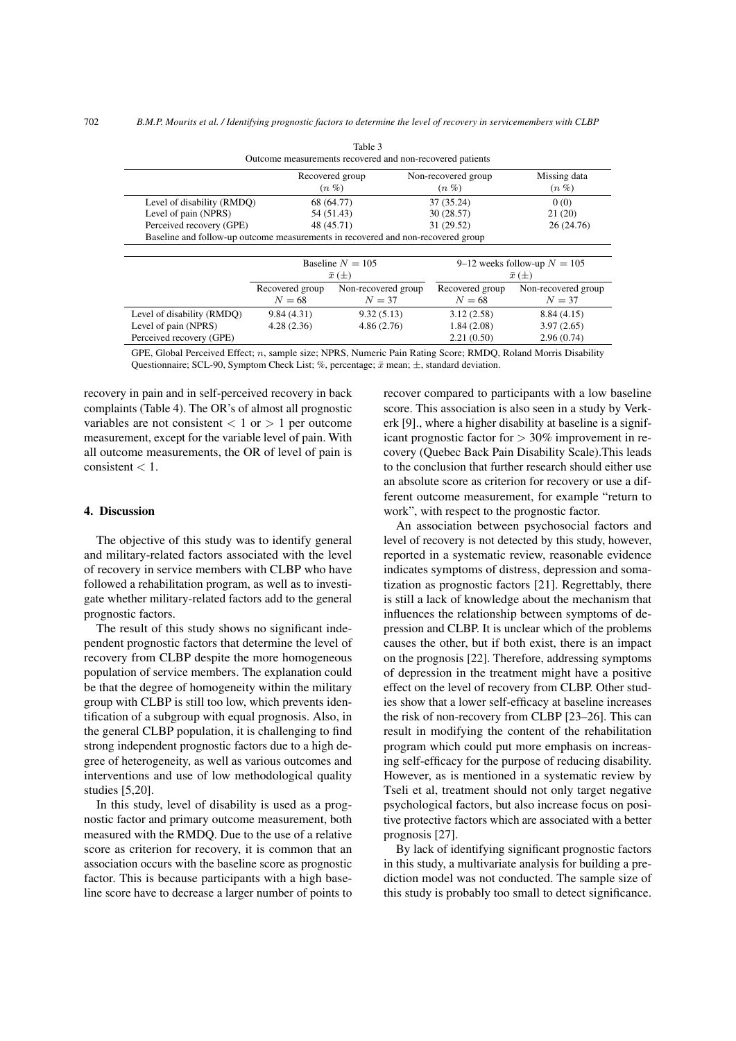Table 3

<span id="page-5-0"></span>

|                                                                                  |                    | Outcome measurements recovered and non-recovered patients |                               |                                |  |  |
|----------------------------------------------------------------------------------|--------------------|-----------------------------------------------------------|-------------------------------|--------------------------------|--|--|
|                                                                                  |                    | Recovered group<br>$(n\%$                                 | Non-recovered group<br>$(n\%$ | Missing data<br>$(n \%)$       |  |  |
| Level of disability (RMDO)                                                       |                    | 68 (64.77)                                                |                               | 0(0)                           |  |  |
| Level of pain (NPRS)                                                             |                    | 30(28.57)<br>54 (51.43)                                   |                               | 21(20)                         |  |  |
| Perceived recovery (GPE)                                                         |                    | 48 (45.71)                                                | 31 (29.52)                    | 26 (24.76)                     |  |  |
| Baseline and follow-up outcome measurements in recovered and non-recovered group |                    |                                                           |                               |                                |  |  |
|                                                                                  |                    |                                                           |                               |                                |  |  |
|                                                                                  | Baseline $N = 105$ |                                                           |                               | 9–12 weeks follow-up $N = 105$ |  |  |
|                                                                                  | $\bar{x}(\pm)$     |                                                           |                               | $\bar{x}(\pm)$                 |  |  |
|                                                                                  | Recovered group    | Non-recovered group                                       | Recovered group               | Non-recovered group            |  |  |
|                                                                                  | $N = 68$           | $N=37$                                                    | $N=68$                        | $N=37$                         |  |  |
| Level of disability (RMDQ)                                                       | 9.84(4.31)         | 9.32(5.13)                                                | 3.12(2.58)                    | 8.84(4.15)                     |  |  |
| Level of pain (NPRS)                                                             | 4.28(2.36)         | 4.86(2.76)                                                | 1.84(2.08)                    | 3.97(2.65)                     |  |  |
| Perceived recovery (GPE)                                                         |                    |                                                           | 2.21(0.50)                    | 2.96(0.74)                     |  |  |

GPE, Global Perceived Effect; n, sample size; NPRS, Numeric Pain Rating Score; RMDQ, Roland Morris Disability Questionnaire; SCL-90, Symptom Check List; %, percentage;  $\bar{x}$  mean;  $\pm$ , standard deviation.

recovery in pain and in self-perceived recovery in back complaints (Table [4\)](#page-6-0). The OR's of almost all prognostic variables are not consistent  $< 1$  or  $> 1$  per outcome measurement, except for the variable level of pain. With all outcome measurements, the OR of level of pain is consistent < 1.

# 4. Discussion

The objective of this study was to identify general and military-related factors associated with the level of recovery in service members with CLBP who have followed a rehabilitation program, as well as to investigate whether military-related factors add to the general prognostic factors.

The result of this study shows no significant independent prognostic factors that determine the level of recovery from CLBP despite the more homogeneous population of service members. The explanation could be that the degree of homogeneity within the military group with CLBP is still too low, which prevents identification of a subgroup with equal prognosis. Also, in the general CLBP population, it is challenging to find strong independent prognostic factors due to a high degree of heterogeneity, as well as various outcomes and interventions and use of low methodological quality studies [\[5](#page-7-4)[,20\]](#page-8-6).

In this study, level of disability is used as a prognostic factor and primary outcome measurement, both measured with the RMDQ. Due to the use of a relative score as criterion for recovery, it is common that an association occurs with the baseline score as prognostic factor. This is because participants with a high baseline score have to decrease a larger number of points to recover compared to participants with a low baseline score. This association is also seen in a study by Verkerk [\[9\]](#page-7-8)., where a higher disability at baseline is a significant prognostic factor for > 30% improvement in recovery (Quebec Back Pain Disability Scale).This leads to the conclusion that further research should either use an absolute score as criterion for recovery or use a different outcome measurement, for example "return to work", with respect to the prognostic factor.

An association between psychosocial factors and level of recovery is not detected by this study, however, reported in a systematic review, reasonable evidence indicates symptoms of distress, depression and somatization as prognostic factors [\[21\]](#page-8-7). Regrettably, there is still a lack of knowledge about the mechanism that influences the relationship between symptoms of depression and CLBP. It is unclear which of the problems causes the other, but if both exist, there is an impact on the prognosis [\[22\]](#page-8-8). Therefore, addressing symptoms of depression in the treatment might have a positive effect on the level of recovery from CLBP. Other studies show that a lower self-efficacy at baseline increases the risk of non-recovery from CLBP [\[23](#page-8-9)[–26\]](#page-8-10). This can result in modifying the content of the rehabilitation program which could put more emphasis on increasing self-efficacy for the purpose of reducing disability. However, as is mentioned in a systematic review by Tseli et al, treatment should not only target negative psychological factors, but also increase focus on positive protective factors which are associated with a better prognosis [\[27\]](#page-8-11).

By lack of identifying significant prognostic factors in this study, a multivariate analysis for building a prediction model was not conducted. The sample size of this study is probably too small to detect significance.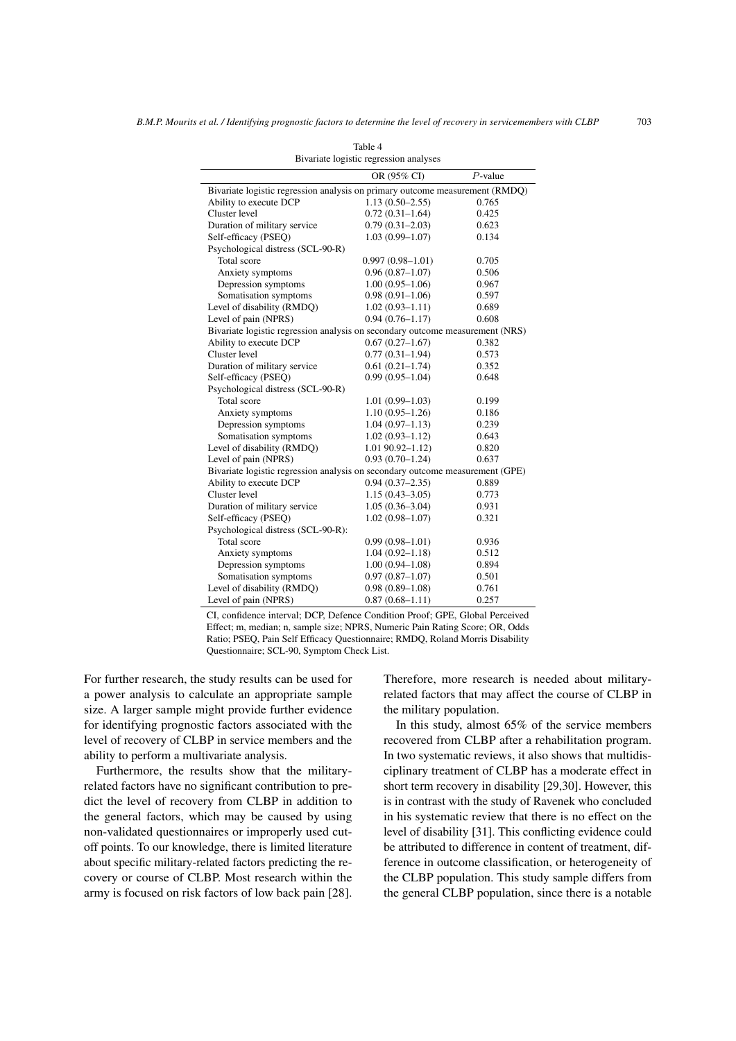<span id="page-6-0"></span>

|                                                                               | Bryanace rogroup regression anaryses |            |
|-------------------------------------------------------------------------------|--------------------------------------|------------|
|                                                                               | OR (95% CI)                          | $P$ -value |
| Bivariate logistic regression analysis on primary outcome measurement (RMDQ)  |                                      |            |
| Ability to execute DCP                                                        | $1.13(0.50-2.55)$                    | 0.765      |
| Cluster level                                                                 | $0.72(0.31-1.64)$                    | 0.425      |
| Duration of military service                                                  | $0.79(0.31 - 2.03)$                  | 0.623      |
| Self-efficacy (PSEQ)                                                          | $1.03(0.99 - 1.07)$                  | 0.134      |
| Psychological distress (SCL-90-R)                                             |                                      |            |
| Total score                                                                   | $0.997(0.98 - 1.01)$                 | 0.705      |
| Anxiety symptoms                                                              | $0.96(0.87-1.07)$                    | 0.506      |
| Depression symptoms                                                           | $1.00(0.95-1.06)$                    | 0.967      |
| Somatisation symptoms                                                         | $0.98(0.91-1.06)$                    | 0.597      |
| Level of disability (RMDQ)                                                    | $1.02(0.93 - 1.11)$                  | 0.689      |
| Level of pain (NPRS)                                                          | $0.94(0.76 - 1.17)$                  | 0.608      |
| Bivariate logistic regression analysis on secondary outcome measurement (NRS) |                                      |            |
| Ability to execute DCP                                                        | $0.67(0.27-1.67)$                    | 0.382      |
| Cluster level                                                                 | $0.77(0.31-1.94)$                    | 0.573      |
| Duration of military service                                                  | $0.61(0.21-1.74)$                    | 0.352      |
| Self-efficacy (PSEQ)                                                          | $0.99(0.95-1.04)$                    | 0.648      |
| Psychological distress (SCL-90-R)                                             |                                      |            |
| Total score                                                                   | $1.01(0.99 - 1.03)$                  | 0.199      |
| Anxiety symptoms                                                              | $1.10(0.95-1.26)$                    | 0.186      |
| Depression symptoms                                                           | $1.04(0.97-1.13)$                    | 0.239      |
| Somatisation symptoms                                                         | $1.02(0.93 - 1.12)$                  | 0.643      |
| Level of disability (RMDQ)                                                    | $1.01$ 90.92-1.12)                   | 0.820      |
| Level of pain (NPRS)                                                          | $0.93(0.70-1.24)$                    | 0.637      |
| Bivariate logistic regression analysis on secondary outcome measurement (GPE) |                                      |            |
| Ability to execute DCP                                                        | $0.94(0.37-2.35)$                    | 0.889      |
| Cluster level                                                                 | $1.15(0.43 - 3.05)$                  | 0.773      |
| Duration of military service                                                  | $1.05(0.36 - 3.04)$                  | 0.931      |
| Self-efficacy (PSEQ)                                                          | $1.02(0.98 - 1.07)$                  | 0.321      |
| Psychological distress (SCL-90-R):                                            |                                      |            |
| Total score                                                                   | $0.99(0.98 - 1.01)$                  | 0.936      |
| Anxiety symptoms                                                              | $1.04(0.92 - 1.18)$                  | 0.512      |
| Depression symptoms                                                           | $1.00(0.94 - 1.08)$                  | 0.894      |
| Somatisation symptoms                                                         | $0.97(0.87 - 1.07)$                  | 0.501      |
| Level of disability (RMDQ)                                                    | $0.98(0.89 - 1.08)$                  | 0.761      |
| Level of pain (NPRS)                                                          | $0.87(0.68 - 1.11)$                  | 0.257      |

Table 4 Bivariate logistic regression analyses

CI, confidence interval; DCP, Defence Condition Proof; GPE, Global Perceived Effect; m, median; n, sample size; NPRS, Numeric Pain Rating Score; OR, Odds Ratio; PSEQ, Pain Self Efficacy Questionnaire; RMDQ, Roland Morris Disability Questionnaire; SCL-90, Symptom Check List.

For further research, the study results can be used for a power analysis to calculate an appropriate sample size. A larger sample might provide further evidence for identifying prognostic factors associated with the level of recovery of CLBP in service members and the ability to perform a multivariate analysis.

Furthermore, the results show that the militaryrelated factors have no significant contribution to predict the level of recovery from CLBP in addition to the general factors, which may be caused by using non-validated questionnaires or improperly used cutoff points. To our knowledge, there is limited literature about specific military-related factors predicting the recovery or course of CLBP. Most research within the army is focused on risk factors of low back pain [\[28\]](#page-8-12). Therefore, more research is needed about militaryrelated factors that may affect the course of CLBP in the military population.

In this study, almost 65% of the service members recovered from CLBP after a rehabilitation program. In two systematic reviews, it also shows that multidisciplinary treatment of CLBP has a moderate effect in short term recovery in disability [\[29](#page-8-13)[,30\]](#page-8-14). However, this is in contrast with the study of Ravenek who concluded in his systematic review that there is no effect on the level of disability [\[31\]](#page-8-15). This conflicting evidence could be attributed to difference in content of treatment, difference in outcome classification, or heterogeneity of the CLBP population. This study sample differs from the general CLBP population, since there is a notable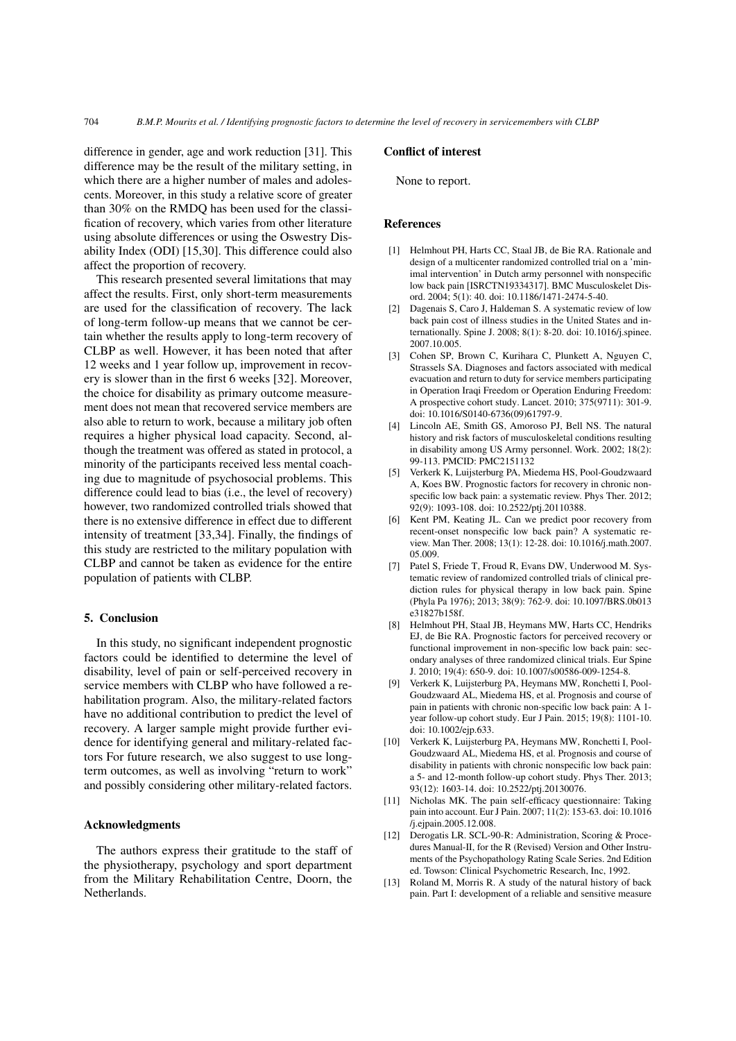difference in gender, age and work reduction [\[31\]](#page-8-15). This difference may be the result of the military setting, in which there are a higher number of males and adolescents. Moreover, in this study a relative score of greater than 30% on the RMDQ has been used for the classification of recovery, which varies from other literature using absolute differences or using the Oswestry Disability Index (ODI) [\[15](#page-8-1)[,30\]](#page-8-14). This difference could also affect the proportion of recovery.

This research presented several limitations that may affect the results. First, only short-term measurements are used for the classification of recovery. The lack of long-term follow-up means that we cannot be certain whether the results apply to long-term recovery of CLBP as well. However, it has been noted that after 12 weeks and 1 year follow up, improvement in recovery is slower than in the first 6 weeks [\[32\]](#page-8-16). Moreover, the choice for disability as primary outcome measurement does not mean that recovered service members are also able to return to work, because a military job often requires a higher physical load capacity. Second, although the treatment was offered as stated in protocol, a minority of the participants received less mental coaching due to magnitude of psychosocial problems. This difference could lead to bias (i.e., the level of recovery) however, two randomized controlled trials showed that there is no extensive difference in effect due to different intensity of treatment [\[33](#page-8-17)[,34\]](#page-8-18). Finally, the findings of this study are restricted to the military population with CLBP and cannot be taken as evidence for the entire population of patients with CLBP.

## 5. Conclusion

In this study, no significant independent prognostic factors could be identified to determine the level of disability, level of pain or self-perceived recovery in service members with CLBP who have followed a rehabilitation program. Also, the military-related factors have no additional contribution to predict the level of recovery. A larger sample might provide further evidence for identifying general and military-related factors For future research, we also suggest to use longterm outcomes, as well as involving "return to work" and possibly considering other military-related factors.

## Acknowledgments

The authors express their gratitude to the staff of the physiotherapy, psychology and sport department from the Military Rehabilitation Centre, Doorn, the Netherlands.

### Conflict of interest

None to report.

#### References

- <span id="page-7-0"></span>[1] Helmhout PH, Harts CC, Staal JB, de Bie RA. Rationale and design of a multicenter randomized controlled trial on a 'minimal intervention' in Dutch army personnel with nonspecific low back pain [ISRCTN19334317]. BMC Musculoskelet Disord. 2004; 5(1): 40. doi: 10.1186/1471-2474-5-40.
- <span id="page-7-1"></span>[2] Dagenais S, Caro J, Haldeman S. A systematic review of low back pain cost of illness studies in the United States and internationally. Spine J. 2008; 8(1): 8-20. doi: 10.1016/j.spinee. 2007.10.005.
- <span id="page-7-2"></span>[3] Cohen SP, Brown C, Kurihara C, Plunkett A, Nguyen C, Strassels SA. Diagnoses and factors associated with medical evacuation and return to duty for service members participating in Operation Iraqi Freedom or Operation Enduring Freedom: A prospective cohort study. Lancet. 2010; 375(9711): 301-9. doi: 10.1016/S0140-6736(09)61797-9.
- <span id="page-7-3"></span>[4] Lincoln AE, Smith GS, Amoroso PJ, Bell NS. The natural history and risk factors of musculoskeletal conditions resulting in disability among US Army personnel. Work. 2002; 18(2): 99-113. PMCID: PMC2151132
- <span id="page-7-4"></span>[5] Verkerk K, Luijsterburg PA, Miedema HS, Pool-Goudzwaard A, Koes BW. Prognostic factors for recovery in chronic nonspecific low back pain: a systematic review. Phys Ther. 2012; 92(9): 1093-108. doi: 10.2522/ptj.20110388.
- <span id="page-7-5"></span>[6] Kent PM, Keating JL. Can we predict poor recovery from recent-onset nonspecific low back pain? A systematic review. Man Ther. 2008; 13(1): 12-28. doi: 10.1016/j.math.2007. 05.009.
- <span id="page-7-6"></span>[7] Patel S, Friede T, Froud R, Evans DW, Underwood M, Systematic review of randomized controlled trials of clinical prediction rules for physical therapy in low back pain. Spine (Phyla Pa 1976); 2013; 38(9): 762-9. doi: 10.1097/BRS.0b013 e31827b158f.
- <span id="page-7-7"></span>[8] Helmhout PH, Staal JB, Heymans MW, Harts CC, Hendriks EJ, de Bie RA. Prognostic factors for perceived recovery or functional improvement in non-specific low back pain: secondary analyses of three randomized clinical trials. Eur Spine J. 2010; 19(4): 650-9. doi: 10.1007/s00586-009-1254-8.
- <span id="page-7-8"></span>[9] Verkerk K, Luijsterburg PA, Heymans MW, Ronchetti I, Pool-Goudzwaard AL, Miedema HS, et al. Prognosis and course of pain in patients with chronic non-specific low back pain: A 1 year follow-up cohort study. Eur J Pain. 2015; 19(8): 1101-10. doi: 10.1002/ejp.633.
- <span id="page-7-9"></span>[10] Verkerk K, Luijsterburg PA, Heymans MW, Ronchetti I, Pool-Goudzwaard AL, Miedema HS, et al. Prognosis and course of disability in patients with chronic nonspecific low back pain: a 5- and 12-month follow-up cohort study. Phys Ther. 2013; 93(12): 1603-14. doi: 10.2522/ptj.20130076.
- <span id="page-7-10"></span>[11] Nicholas MK. The pain self-efficacy questionnaire: Taking pain into account. Eur J Pain. 2007; 11(2): 153-63. doi: 10.1016 /j.ejpain.2005.12.008.
- <span id="page-7-11"></span>[12] Derogatis LR. SCL-90-R: Administration, Scoring & Procedures Manual-II, for the R (Revised) Version and Other Instruments of the Psychopathology Rating Scale Series. 2nd Edition ed. Towson: Clinical Psychometric Research, Inc, 1992.
- <span id="page-7-12"></span>[13] Roland M, Morris R. A study of the natural history of back pain. Part I: development of a reliable and sensitive measure